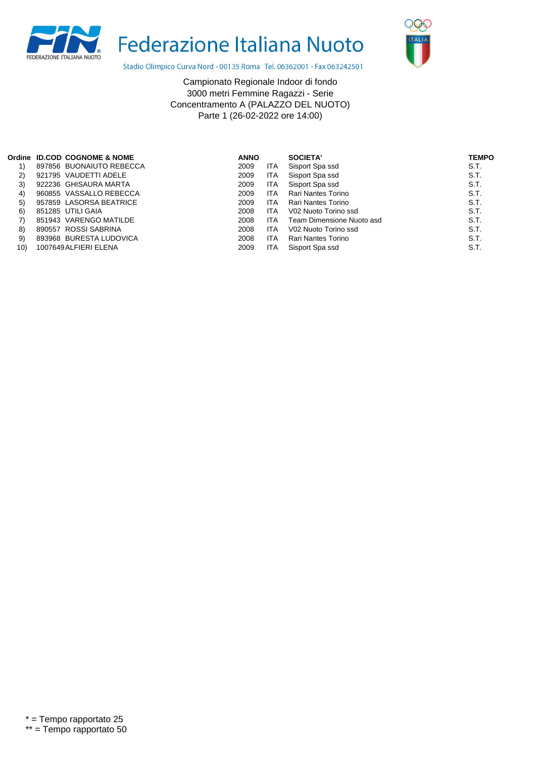



Stadio Olimpico Curva Nord - 00135 Roma Tel. 06362001 - Fax 063242501

Campionato Regionale Indoor di fondo 3000 metri Femmine Ragazzi - Serie Concentramento A (PALAZZO DEL NUOTO) Parte 1 (26-02-2022 ore 14:00)

|     | Ordine ID.COD COGNOME & NOME | <b>ANNO</b> |            | SOCIETA'                  | <b>TEMPO</b> |
|-----|------------------------------|-------------|------------|---------------------------|--------------|
|     | 897856 BUONAIUTO REBECCA     | 2009        | ITA        | Sisport Spa ssd           | S.T.         |
| 2)  | 921795 VAUDETTI ADELE        | 2009        | ITA        | Sisport Spa ssd           | S.T.         |
| 3)  | 922236 GHISAURA MARTA        | 2009        | <b>ITA</b> | Sisport Spa ssd           | S.T.         |
| 4)  | 960855 VASSALLO REBECCA      | 2009        | <b>ITA</b> | Rari Nantes Torino        | S.T.         |
| 5)  | 957859 LASORSA BEATRICE      | 2009        | <b>ITA</b> | Rari Nantes Torino        | S.T.         |
| 6)  | 851285 UTILI GAIA            | 2008        | ITA        | V02 Nuoto Torino ssd      | S.T.         |
| 7)  | 851943 VARENGO MATILDE       | 2008        | ITA        | Team Dimensione Nuoto asd | S.T.         |
| 8)  | 890557 ROSSI SABRINA         | 2008        | <b>ITA</b> | V02 Nuoto Torino ssd      | S.T.         |
| 9)  | 893968 BURESTA LUDOVICA      | 2008        | <b>ITA</b> | Rari Nantes Torino        | S.T.         |
| 10) | 1007649 ALFIERI ELENA        | 2009        | <b>ITA</b> | Sisport Spa ssd           | S.T.         |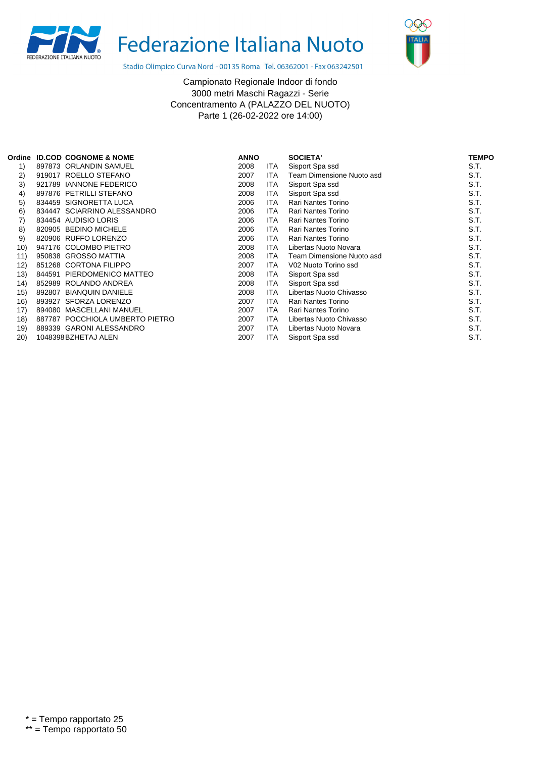



Stadio Olimpico Curva Nord - 00135 Roma Tel. 06362001 - Fax 063242501

Campionato Regionale Indoor di fondo 3000 metri Maschi Ragazzi - Serie Concentramento A (PALAZZO DEL NUOTO) Parte 1 (26-02-2022 ore 14:00)

| Ordine |        | <b>ID.COD COGNOME &amp; NOME</b> | <b>ANNO</b> |            | SOCIETA'                  | <b>TEMPO</b> |
|--------|--------|----------------------------------|-------------|------------|---------------------------|--------------|
| 1)     |        | 897873 ORLANDIN SAMUEL           | 2008        | ITA        | Sisport Spa ssd           | S.T.         |
| 2)     |        | 919017 ROELLO STEFANO            | 2007        | ITA        | Team Dimensione Nuoto asd | S.T.         |
| 3)     | 921789 | <b>IANNONE FEDERICO</b>          | 2008        | ITA        | Sisport Spa ssd           | S.T.         |
| 4)     | 897876 | PETRILLI STEFANO                 | 2008        | ITA        | Sisport Spa ssd           | S.T.         |
| 5)     | 834459 | SIGNORETTA LUCA                  | 2006        | ITA        | <b>Rari Nantes Torino</b> | S.T.         |
| 6)     |        | 834447 SCIARRINO ALESSANDRO      | 2006        | <b>ITA</b> | <b>Rari Nantes Torino</b> | S.T.         |
| 7)     |        | 834454 AUDISIO LORIS             | 2006        | ITA        | Rari Nantes Torino        | S.T.         |
| 8)     |        | 820905 BEDINO MICHELE            | 2006        | <b>ITA</b> | <b>Rari Nantes Torino</b> | S.T.         |
| 9)     |        | 820906 RUFFO LORENZO             | 2006        | ITA        | <b>Rari Nantes Torino</b> | S.T.         |
| 10)    |        | 947176 COLOMBO PIETRO            | 2008        | ITA        | Libertas Nuoto Novara     | S.T.         |
| 11)    |        | 950838 GROSSO MATTIA             | 2008        | ITA        | Team Dimensione Nuoto asd | S.T.         |
| 12)    |        | 851268 CORTONA FILIPPO           | 2007        | ITA        | V02 Nuoto Torino ssd      | S.T.         |
| 13)    | 844591 | PIERDOMENICO MATTEO              | 2008        | <b>ITA</b> | Sisport Spa ssd           | S.T.         |
| (14)   | 852989 | ROLANDO ANDREA                   | 2008        | ITA        | Sisport Spa ssd           | S.T.         |
| 15)    | 892807 | <b>BIANQUIN DANIELE</b>          | 2008        | <b>ITA</b> | Libertas Nuoto Chivasso   | S.T.         |
| 16)    |        | 893927 SFORZA LORENZO            | 2007        | ITA        | Rari Nantes Torino        | S.T.         |
| 17)    | 894080 | MASCELLANI MANUEL                | 2007        | ITA        | <b>Rari Nantes Torino</b> | S.T.         |
| 18)    |        | 887787 POCCHIOLA UMBERTO PIETRO  | 2007        | ITA        | Libertas Nuoto Chivasso   | S.T.         |
| 19)    | 889339 | <b>GARONI ALESSANDRO</b>         | 2007        | ITA        | Libertas Nuoto Novara     | S.T.         |
| 20)    |        | 1048398 BZHETAJ ALEN             | 2007        | ITA        | Sisport Spa ssd           | S.T.         |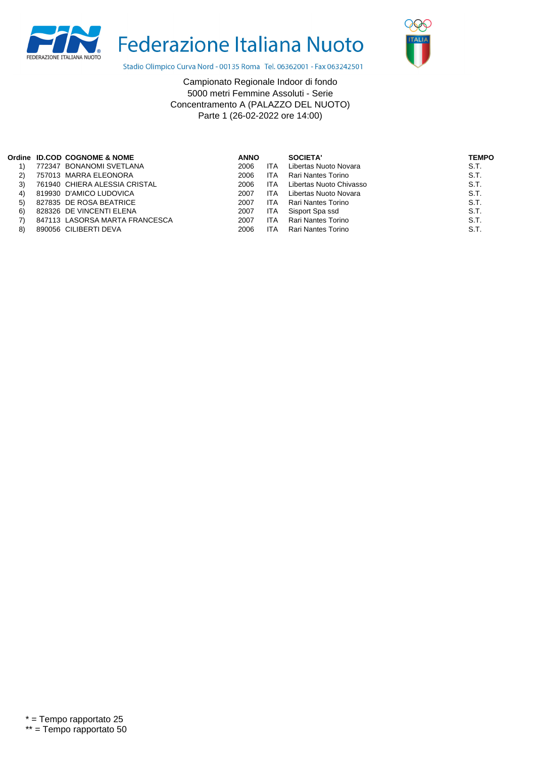



Stadio Olimpico Curva Nord - 00135 Roma Tel. 06362001 - Fax 063242501

Campionato Regionale Indoor di fondo 5000 metri Femmine Assoluti - Serie Concentramento A (PALAZZO DEL NUOTO) Parte 1 (26-02-2022 ore 14:00)

|     | Ordine ID.COD COGNOME & NOME   | <b>ANNO</b> |            | SOCIETA'                | <b>TEMPO</b> |
|-----|--------------------------------|-------------|------------|-------------------------|--------------|
|     | 772347 BONANOMI SVETLANA       | 2006        | <b>ITA</b> | Libertas Nuoto Novara   | S.T.         |
| (2) | 757013 MARRA ELEONORA          | 2006        | <b>ITA</b> | Rari Nantes Torino      | S.T.         |
| 3)  | 761940 CHIERA ALESSIA CRISTAL  | 2006        | <b>ITA</b> | Libertas Nuoto Chivasso | S.T.         |
| 4)  | 819930 D'AMICO LUDOVICA        | 2007        | <b>ITA</b> | Libertas Nuoto Novara   | S.T.         |
| 5)  | 827835 DE ROSA BEATRICE        | 2007        | <b>ITA</b> | Rari Nantes Torino      | S.T.         |
| 6)  | 828326 DE VINCENTI ELENA       | 2007        | <b>ITA</b> | Sisport Spa ssd         | S.T.         |
|     | 847113 LASORSA MARTA FRANCESCA | 2007        | <b>ITA</b> | Rari Nantes Torino      | S.T.         |
| 8)  | 890056 CILIBERTI DEVA          | 2006        | ITA        | Rari Nantes Torino      | S.T.         |